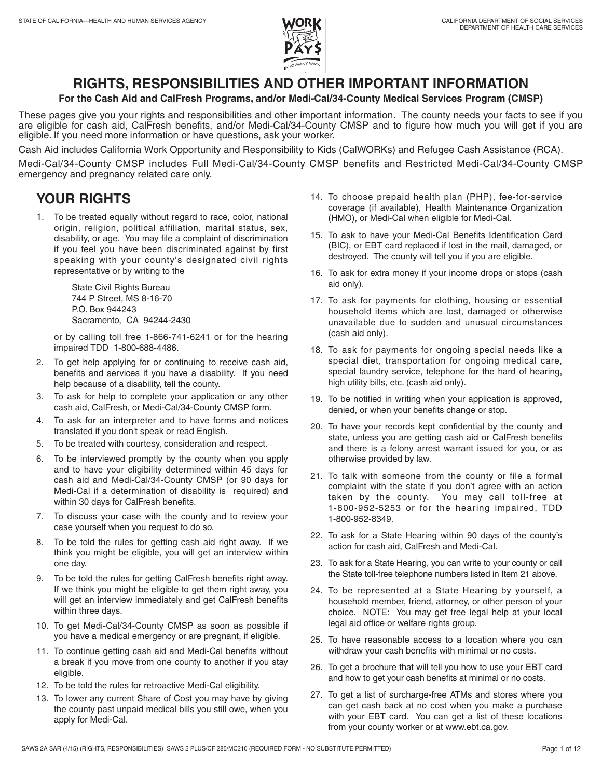# **RIGHTS, RESPONSIBILITIES AND OTHER IMPORTANT INFORMATION**

## **For the Cash Aid and CalFresh Programs, and/or Medi-Cal/34-County Medical Services Program (CMSP)**

 These pages give you your rights and responsibilities and other important information. The county needs your facts to see if you are eligible for cash aid, CalFresh benefits, and/or Medi-Cal/34-County CMSP and to figure how much you will get if you are eligible. If you need more information or have questions, ask your worker.

Cash Aid includes California Work Opportunity and Responsibility to Kids (CalWORKs) and Refugee Cash Assistance (RCA).

 Medi-Cal/34-County CMSP includes Full Medi-Cal/34-County CMSP benefits and Restricted Medi-Cal/34-County CMSP emergency and pregnancy related care only.

# **YOUR RIGHTS**

 origin, religion, political affiliation, marital status, sex, disability, or age. You may file a complaint of discrimination if you feel you have been discriminated against by first speaking with your county's designated civil rights 1. To be treated equally without regard to race, color, national representative or by writing to the

> State Civil Rights Bureau 744 P Street, MS 8-16-70 P.O. Box 944243 Sacramento, CA 94244-2430

 or by calling toll free 1-866-741-6241 or for the hearing impaired TDD 1-800-688-4486.

- benefits and services if you have a disability. If you need 2. To get help applying for or continuing to receive cash aid, help because of a disability, tell the county.
- 3. To ask for help to complete your application or any other cash aid, CalFresh, or Medi-Cal/34-County CMSP form.
- 4. To ask for an interpreter and to have forms and notices translated if you don't speak or read English.
- 5. To be treated with courtesy, consideration and respect.
- and to have your eligibility determined within 45 days for cash aid and Medi-Cal/34-County CMSP (or 90 days for Medi-Cal if a determination of disability is required) and 6. To be interviewed promptly by the county when you apply within 30 days for CalFresh benefits.
- 7. To discuss your case with the county and to review your case yourself when you request to do so.
- 8. To be told the rules for getting cash aid right away. If we think you might be eligible, you will get an interview within one day.
- 9. To be told the rules for getting CalFresh benefits right away. If we think you might be eligible to get them right away, you will get an interview immediately and get CalFresh benefits within three days.
- 10. To get Medi-Cal/34-County CMSP as soon as possible if you have a medical emergency or are pregnant, if eligible.
- 11. To continue getting cash aid and Medi-Cal benefits without a break if you move from one county to another if you stay eligible.
- 12. To be told the rules for retroactive Medi-Cal eligibility.
- 13. To lower any current Share of Cost you may have by giving the county past unpaid medical bills you still owe, when you apply for Medi-Cal.
- 14. To choose prepaid health plan (PHP), fee-for-service coverage (if available), Health Maintenance Organization (HMO), or Medi-Cal when eligible for Medi-Cal.
- 15. To ask to have your Medi-Cal Benefits Identification Card (BIC), or EBT card replaced if lost in the mail, damaged, or destroyed. The county will tell you if you are eligible.
- 16. To ask for extra money if your income drops or stops (cash aid only).
- 17. To ask for payments for clothing, housing or essential household items which are lost, damaged or otherwise unavailable due to sudden and unusual circumstances (cash aid only).
- 18. To ask for payments for ongoing special needs like a special diet, transportation for ongoing medical care, special laundry service, telephone for the hard of hearing, high utility bills, etc. (cash aid only).
- 19. To be notified in writing when your application is approved, denied, or when your benefits change or stop.
- 20. To have your records kept confidential by the county and and there is a felony arrest warrant issued for you, or as state, unless you are getting cash aid or CalFresh benefits otherwise provided by law.
- 21. To talk with someone from the county or file a formal complaint with the state if you don't agree with an action taken by the county. You may call toll-free at 1-800-952-5253 or for the hearing impaired, TDD 1-800-952-8349.
- 22. To ask for a State Hearing within 90 days of the county's action for cash aid, CalFresh and Medi-Cal.
- 23. To ask for a State Hearing, you can write to your county or call the State toll-free telephone numbers listed in Item 21 above.
- 24. To be represented at a State Hearing by yourself, a choice. NOTE: You may get free legal help at your local household member, friend, attorney, or other person of your legal aid office or welfare rights group.
- 25. To have reasonable access to a location where you can withdraw your cash benefits with minimal or no costs.
- 26. To get a brochure that will tell you how to use your EBT card and how to get your cash benefits at minimal or no costs.
- with your EBT card. You can get a list of these locations 27. To get a list of surcharge-free ATMs and stores where you can get cash back at no cost when you make a purchase from your county worker or at [www.ebt.ca.gov.](www.ebt.ca.gov)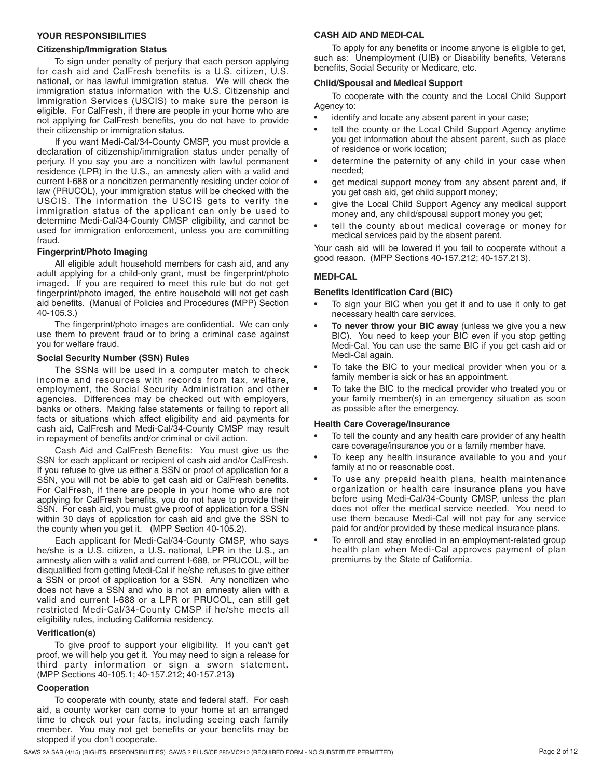#### **YOUR RESPONSIBILITIES**

#### **Citizenship/Immigration Status**

 for cash aid and CalFresh benefits is a U.S. citizen, U.S. national, or has lawful immigration status. We will check the immigration status information with the U.S. Citizenship and Immigration Services (USCIS) to make sure the person is eligible. For CalFresh, if there are people in your home who are To sign under penalty of perjury that each person applying not applying for CalFresh benefits, you do not have to provide their citizenship or immigration status.

 declaration of citizenship/immigration status under penalty of perjury. If you say you are a noncitizen with lawful permanent USCIS. The information the USCIS gets to verify the immigration status of the applicant can only be used to used for immigration enforcement, unless you are committing If you want Medi-Cal/34-County CMSP, you must provide a residence (LPR) in the U.S., an amnesty alien with a valid and current I-688 or a noncitizen permanently residing under color of law (PRUCOL), your immigration status will be checked with the determine Medi-Cal/34-County CMSP eligibility, and cannot be fraud.

#### **Fingerprint/Photo Imaging**

 adult applying for a child-only grant, must be fingerprint/photo imaged. If you are required to meet this rule but do not get aid benefits. (Manual of Policies and Procedures (MPP) Section All eligible adult household members for cash aid, and any fingerprint/photo imaged, the entire household will not get cash 40-105.3.)

 The fingerprint/photo images are confidential. We can only use them to prevent fraud or to bring a criminal case against you for welfare fraud.

#### **Social Security Number (SSN) Rules**

 The SSNs will be used in a computer match to check income and resources with records from tax, welfare, employment, the Social Security Administration and other agencies. Differences may be checked out with employers, banks or others. Making false statements or failing to report all facts or situations which affect eligibility and aid payments for cash aid, CalFresh and Medi-Cal/34-County CMSP may result in repayment of benefits and/or criminal or civil action.

 Cash Aid and CalFresh Benefits: You must give us the For CalFresh, if there are people in your home who are not SSN. For cash aid, you must give proof of application for a SSN SSN for each applicant or recipient of cash aid and/or CalFresh. If you refuse to give us either a SSN or proof of application for a SSN, you will not be able to get cash aid or CalFresh benefits. applying for CalFresh benefits, you do not have to provide their within 30 days of application for cash aid and give the SSN to the county when you get it. (MPP Section 40-105.2).

 Each applicant for Medi-Cal/34-County CMSP, who says he/she is a U.S. citizen, a U.S. national, LPR in the U.S., an a SSN or proof of application for a SSN. Any noncitizen who valid and current I-688 or a LPR or PRUCOL, can still get restricted Medi-Cal/34-County CMSP if he/she meets all amnesty alien with a valid and current I-688, or PRUCOL, will be disqualified from getting Medi-Cal if he/she refuses to give either does not have a SSN and who is not an amnesty alien with a eligibility rules, including California residency.

#### **Verification(s)**

 To give proof to support your eligibility. If you can't get proof, we will help you get it. You may need to sign a release for third party information or sign a sworn statement. (MPP Sections 40-105.1; 40-157.212; 40-157.213)

#### **Cooperation**

 To cooperate with county, state and federal staff. For cash aid, a county worker can come to your home at an arranged time to check out your facts, including seeing each family member. You may not get benefits or your benefits may be stopped if you don't cooperate.

#### **CASH AID AND MEDI-CAL**

 such as: Unemployment (UIB) or Disability benefits, Veterans To apply for any benefits or income anyone is eligible to get, benefits, Social Security or Medicare, etc.

#### **Child/Spousal and Medical Support**

To cooperate with the county and the Local Child Support Agency to:

- identify and locate any absent parent in your case;
- tell the county or the Local Child Support Agency anytime you get information about the absent parent, such as place of residence or work location;
- • determine the paternity of any child in your case when needed;
- get medical support money from any absent parent and, if you get cash aid, get child support money;
- give the Local Child Support Agency any medical support money and, any child/spousal support money you get;
- • tell the county about medical coverage or money for medical services paid by the absent parent.

Your cash aid will be lowered if you fail to cooperate without a good reason. (MPP Sections 40-157.212; 40-157.213).

#### **MEDI-CAL**

#### **Benefits Identification Card (BIC)**

- To sign your BIC when you get it and to use it only to get necessary health care services.
- BIC). You need to keep your BIC even if you stop getting • **To never throw your BIC away** (unless we give you a new Medi-Cal. You can use the same BIC if you get cash aid or Medi-Cal again.
- • To take the BIC to your medical provider when you or a family member is sick or has an appointment.
- To take the BIC to the medical provider who treated you or your family member(s) in an emergency situation as soon as possible after the emergency.

#### **Health Care Coverage/Insurance**

- To tell the county and any health care provider of any health care coverage/insurance you or a family member have.
- • To keep any health insurance available to you and your family at no or reasonable cost.
- • To use any prepaid health plans, health maintenance organization or health care insurance plans you have before using Medi-Cal/34-County CMSP, unless the plan does not offer the medical service needed. You need to use them because Medi-Cal will not pay for any service paid for and/or provided by these medical insurance plans.
- health plan when Medi-Cal approves payment of plan To enroll and stay enrolled in an employment-related group premiums by the State of California.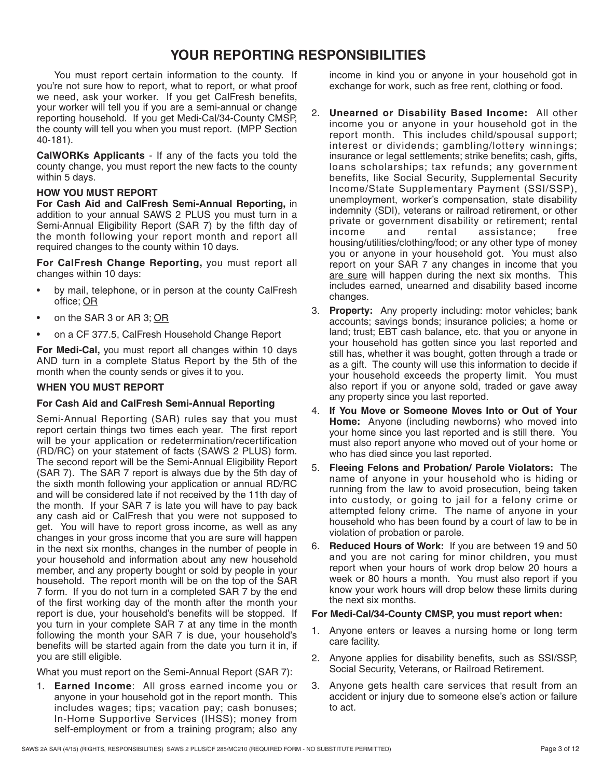# **YOUR REPORTING RESPONSIBILITIES**

 You must report certain information to the county. If we need, ask your worker. If you get CalFresh benefits, reporting household. If you get Medi-Cal/34-County CMSP, the county will tell you when you must report. (MPP Section you're not sure how to report, what to report, or what proof your worker will tell you if you are a semi-annual or change 40-181).

 **CalWORKs Applicants** - If any of the facts you told the county change, you must report the new facts to the county within 5 days.

### **HOW YOU MUST REPORT**

 Semi-Annual Eligibility Report (SAR 7) by the fifth day of the month following your report month and report all **For Cash Aid and CalFresh Semi-Annual Reporting,** in addition to your annual SAWS 2 PLUS you must turn in a required changes to the county within 10 days.

 **For CalFresh Change Reporting,** you must report all changes within 10 days:

- by mail, telephone, or in person at the county CalFresh office; OR
- on the SAR 3 or AR 3; OR
- on a CF 377.5, CalFresh Household Change Report

 AND turn in a complete Status Report by the 5th of the **For Medi-Cal,** you must report all changes within 10 days month when the county sends or gives it to you.

## **WHEN YOU MUST REPORT**

# **For Cash Aid and CalFresh Semi-Annual Reporting**

 Semi-Annual Reporting (SAR) rules say that you must report certain things two times each year. The first report will be your application or redetermination/recertification (SAR 7). The SAR 7 report is always due by the 5th day of the month. If your SAR 7 is late you will have to pay back any cash aid or CalFresh that you were not supposed to get. You will have to report gross income, as well as any household. The report month will be on the top of the SAR 7 form. If you do not turn in a completed SAR 7 by the end report is due, your household's benefits will be stopped. If following the month your SAR 7 is due, your household's (RD/RC) on your statement of facts (SAWS 2 PLUS) form. The second report will be the Semi-Annual Eligibility Report the sixth month following your application or annual RD/RC and will be considered late if not received by the 11th day of changes in your gross income that you are sure will happen in the next six months, changes in the number of people in your household and information about any new household member, and any property bought or sold by people in your of the first working day of the month after the month your you turn in your complete SAR 7 at any time in the month benefits will be started again from the date you turn it in, if you are still eligible.

What you must report on the Semi-Annual Report (SAR 7):

 1. **Earned Income**: All gross earned income you or anyone in your household got in the report month. This includes wages; tips; vacation pay; cash bonuses; In-Home Supportive Services (IHSS); money from self-employment or from a training program; also any

income in kind you or anyone in your household got in exchange for work, such as free rent, clothing or food.

- 2. **Unearned or Disability Based Income:** All other income you or anyone in your household got in the report month. This includes child/spousal support; interest or dividends; gambling/lottery winnings; loans scholarships; tax refunds; any government benefits, like Social Security, Supplemental Security Income/State Supplementary Payment (SSI/SSP), unemployment, worker's compensation, state disability private or government disability or retirement; rental income you or anyone in your household got. You must also report on your SAR 7 any changes in income that you are sure will happen during the next six months. This insurance or legal settlements; strike benefits; cash, gifts, indemnity (SDI), veterans or railroad retirement, or other and rental assistance; free housing/utilities/clothing/food; or any other type of money includes earned, unearned and disability based income changes.
- land; trust; EBT cash balance, etc. that you or anyone in your household has gotten since you last reported and as a gift. The county will use this information to decide if your household exceeds the property limit. You must also report if you or anyone sold, traded or gave away 3. **Property:** Any property including: motor vehicles; bank accounts; savings bonds; insurance policies; a home or still has, whether it was bought, gotten through a trade or any property since you last reported.
- **Home:** Anyone (including newborns) who moved into your home since you last reported and is still there. You 4. **If You Move or Someone Moves Into or Out of Your**  must also report anyone who moved out of your home or who has died since you last reported.
- name of anyone in your household who is hiding or running from the law to avoid prosecution, being taken into custody, or going to jail for a felony crime or attempted felony crime. The name of anyone in your violation of probation or parole. 5. **Fleeing Felons and Probation/ Parole Violators:** The household who has been found by a court of law to be in
- and you are not caring for minor children, you must week or 80 hours a month. You must also report if you 6. **Reduced Hours of Work:** If you are between 19 and 50 report when your hours of work drop below 20 hours a know your work hours will drop below these limits during the next six months.

#### **For Medi-Cal/34-County CMSP, you must report when:**

- 1. Anyone enters or leaves a nursing home or long term care facility.
- 2. Anyone applies for disability benefits, such as SSI/SSP, Social Security, Veterans, or Railroad Retirement.
- 3. Anyone gets health care services that result from an accident or injury due to someone else's action or failure to act.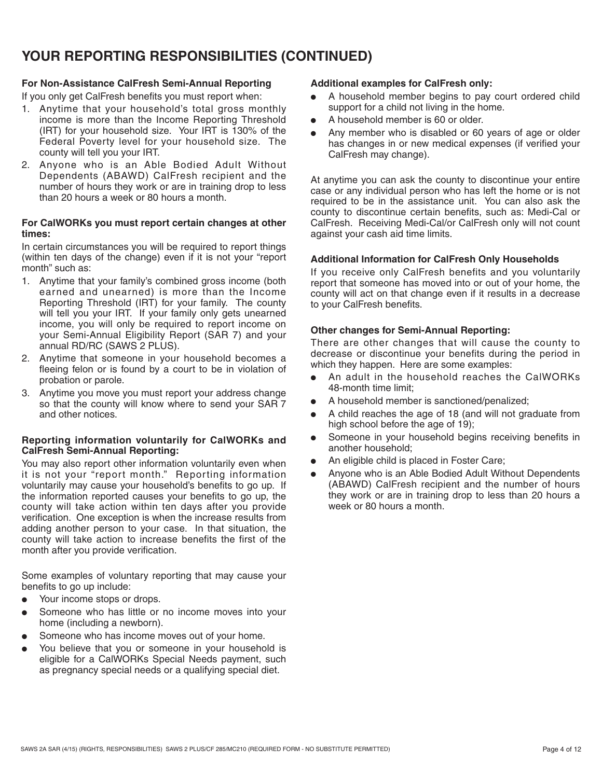# **YOUR REPORTING RESPONSIBILITIES (CONTINUED)**

## **For Non-Assistance CalFresh Semi-Annual Reporting**

If you only get CalFresh benefits you must report when:

- 1. Anytime that your household's total gross monthly income is more than the Income Reporting Threshold (IRT) for your household size. Your IRT is 130% of the Federal Poverty level for your household size. The county will tell you your IRT.
- 2. Anyone who is an Able Bodied Adult Without Dependents (ABAWD) CalFresh recipient and the number of hours they work or are in training drop to less than 20 hours a week or 80 hours a month.

#### **For CalWORKs you must report certain changes at other times:**

In certain circumstances you will be required to report things (within ten days of the change) even if it is not your "report month" such as:

- earned and unearned) is more than the Income Reporting Threshold (IRT) for your family. The county will tell you your IRT. If your family only gets unearned income, you will only be required to report income on your Semi-Annual Eligibility Report (SAR 7) and your 1. Anytime that your family's combined gross income (both annual RD/RC (SAWS 2 PLUS).
- 2. Anytime that someone in your household becomes a fleeing felon or is found by a court to be in violation of probation or parole.
- 3. Anytime you move you must report your address change so that the county will know where to send your SAR 7 and other notices.

#### **Reporting information voluntarily for CalWORKs and CalFresh Semi-Annual Reporting:**

 it is not your "report month." Reporting information voluntarily may cause your household's benefits to go up. If county will take action within ten days after you provide verification. One exception is when the increase results from adding another person to your case. In that situation, the county will take action to increase benefits the first of the You may also report other information voluntarily even when the information reported causes your benefits to go up, the month after you provide verification.

Some examples of voluntary reporting that may cause your benefits to go up include:

- Your income stops or drops.
- Someone who has little or no income moves into your home (including a newborn).
- Someone who has income moves out of your home.
- You believe that you or someone in your household is eligible for a CalWORKs Special Needs payment, such as pregnancy special needs or a qualifying special diet.

### **Additional examples for CalFresh only:**

- A household member begins to pay court ordered child support for a child not living in the home.
- A household member is 60 or older.
- Any member who is disabled or 60 years of age or older has changes in or new medical expenses (if verified your CalFresh may change).

 required to be in the assistance unit. You can also ask the county to discontinue certain benefits, such as: Medi-Cal or CalFresh. Receiving Medi-Cal/or CalFresh only will not count At anytime you can ask the county to discontinue your entire case or any individual person who has left the home or is not against your cash aid time limits.

#### **Additional Information for CalFresh Only Households**

 If you receive only CalFresh benefits and you voluntarily report that someone has moved into or out of your home, the county will act on that change even if it results in a decrease to your CalFresh benefits.

#### **Other changes for Semi-Annual Reporting:**

 There are other changes that will cause the county to decrease or discontinue your benefits during the period in which they happen. Here are some examples:

- An adult in the household reaches the CalWORKs 48-month time limit;
- A household member is sanctioned/penalized;
- A child reaches the age of 18 (and will not graduate from high school before the age of 19);
- Someone in your household begins receiving benefits in another household;
- An eligible child is placed in Foster Care;
- (ABAWD) CalFresh recipient and the number of hours Anyone who is an Able Bodied Adult Without Dependents they work or are in training drop to less than 20 hours a week or 80 hours a month.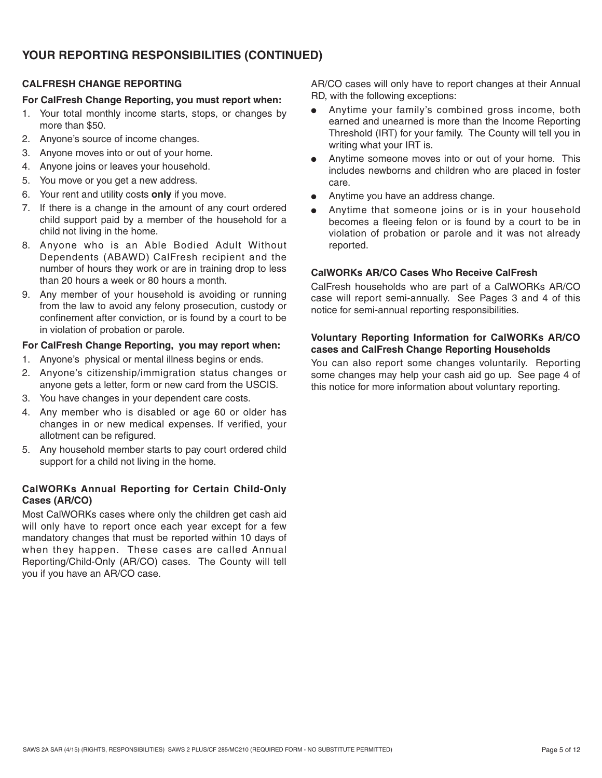# **YOUR REPORTING RESPONSIBILITIES (CONTINUED)**

# **CALFRESH CHANGE REPORTING**

## **For CalFresh Change Reporting, you must report when:**

- 1. Your total monthly income starts, stops, or changes by more than \$50.
- 2. Anyone's source of income changes.
- 3. Anyone moves into or out of your home.
- 4. Anyone joins or leaves your household.
- 5. You move or you get a new address.
- 6. Your rent and utility costs **only** if you move.
- 7. If there is a change in the amount of any court ordered child support paid by a member of the household for a child not living in the home.
- 8. Anyone who is an Able Bodied Adult Without Dependents (ABAWD) CalFresh recipient and the number of hours they work or are in training drop to less than 20 hours a week or 80 hours a month.
- 9. Any member of your household is avoiding or running from the law to avoid any felony prosecution, custody or confinement after conviction, or is found by a court to be in violation of probation or parole.

# **For CalFresh Change Reporting, you may report when:**

- 1. Anyone's physical or mental illness begins or ends.
- 2. Anyone's citizenship/immigration status changes or anyone gets a letter, form or new card from the USCIS.
- 3. You have changes in your dependent care costs.
- 4. Any member who is disabled or age 60 or older has changes in or new medical expenses. If verified, your allotment can be refigured.
- 5. Any household member starts to pay court ordered child support for a child not living in the home.

# **CalWORKs Annual Reporting for Certain Child-Only Cases (AR/CO)**

 will only have to report once each year except for a few when they happen. These cases are called Annual Reporting/Child-Only (AR/CO) cases. The County will tell Most CalWORKs cases where only the children get cash aid mandatory changes that must be reported within 10 days of you if you have an AR/CO case.

AR/CO cases will only have to report changes at their Annual RD, with the following exceptions:

- Anytime your family's combined gross income, both Threshold (IRT) for your family. The County will tell you in earned and unearned is more than the Income Reporting writing what your IRT is.
- Anytime someone moves into or out of your home. This includes newborns and children who are placed in foster care.
- Anytime you have an address change.
- Anytime that someone joins or is in your household becomes a fleeing felon or is found by a court to be in violation of probation or parole and it was not already reported.

# **CalWORKs AR/CO Cases Who Receive CalFresh**

 CalFresh households who are part of a CalWORKs AR/CO case will report semi-annually. See Pages 3 and 4 of this notice for semi-annual reporting responsibilities.

## **Voluntary Reporting Information for CalWORKs AR/CO cases and CalFresh Change Reporting Households**

 You can also report some changes voluntarily. Reporting some changes may help your cash aid go up. See page 4 of this notice for more information about voluntary reporting.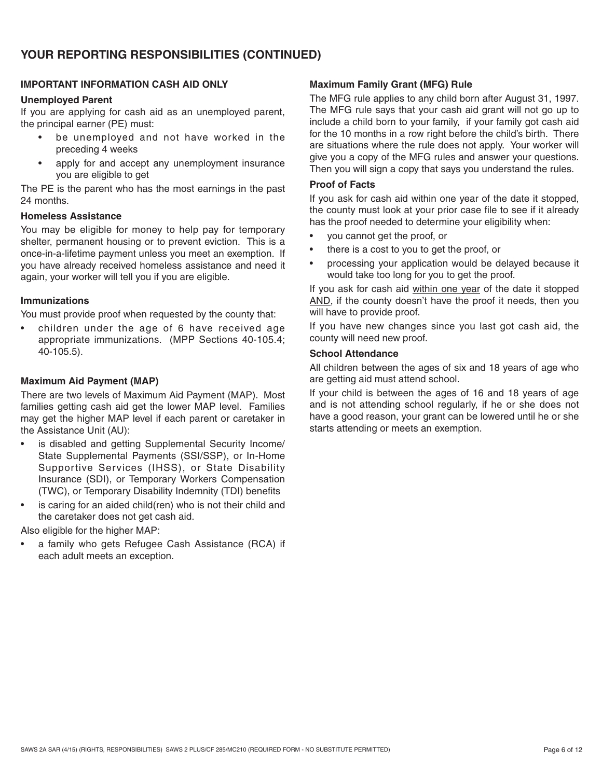## **IMPORTANT INFORMATION CASH AID ONLY**

### **Unemployed Parent**

 If you are applying for cash aid as an unemployed parent, the principal earner (PE) must:

- • be unemployed and not have worked in the preceding 4 weeks
- • apply for and accept any unemployment insurance you are eligible to get

The PE is the parent who has the most earnings in the past 24 months.

# **Homeless Assistance**

 You may be eligible for money to help pay for temporary shelter, permanent housing or to prevent eviction. This is a once-in-a-lifetime payment unless you meet an exemption. If you have already received homeless assistance and need it again, your worker will tell you if you are eligible.

#### **Immunizations**

You must provide proof when requested by the county that:

 • children under the age of 6 have received age appropriate immunizations. (MPP Sections 40-105.4; 40-105.5).

## **Maximum Aid Payment (MAP)**

 There are two levels of Maximum Aid Payment (MAP). Most families getting cash aid get the lower MAP level. Families may get the higher MAP level if each parent or caretaker in the Assistance Unit (AU):

- • is disabled and getting Supplemental Security Income/ State Supplemental Payments (SSI/SSP), or In-Home Supportive Services (IHSS), or State Disability Insurance (SDI), or Temporary Workers Compensation (TWC), or Temporary Disability Indemnity (TDI) benefits
- is caring for an aided child(ren) who is not their child and the caretaker does not get cash aid.

Also eligible for the higher MAP:

 • a family who gets Refugee Cash Assistance (RCA) if each adult meets an exception.

## **Maximum Family Grant (MFG) Rule**

 for the 10 months in a row right before the child's birth. There are situations where the rule does not apply. Your worker will The MFG rule applies to any child born after August 31, 1997. The MFG rule says that your cash aid grant will not go up to include a child born to your family, if your family got cash aid give you a copy of the MFG rules and answer your questions. Then you will sign a copy that says you understand the rules.

#### **Proof of Facts**

If you ask for cash aid within one year of the date it stopped, the county must look at your prior case file to see if it already has the proof needed to determine your eligibility when:

- you cannot get the proof, or
- there is a cost to you to get the proof, or
- processing your application would be delayed because it would take too long for you to get the proof.

If you ask for cash aid within one year of the date it stopped AND, if the county doesn't have the proof it needs, then you will have to provide proof.

 If you have new changes since you last got cash aid, the county will need new proof.

## **School Attendance**

All children between the ages of six and 18 years of age who are getting aid must attend school.

 and is not attending school regularly, if he or she does not If your child is between the ages of 16 and 18 years of age have a good reason, your grant can be lowered until he or she starts attending or meets an exemption.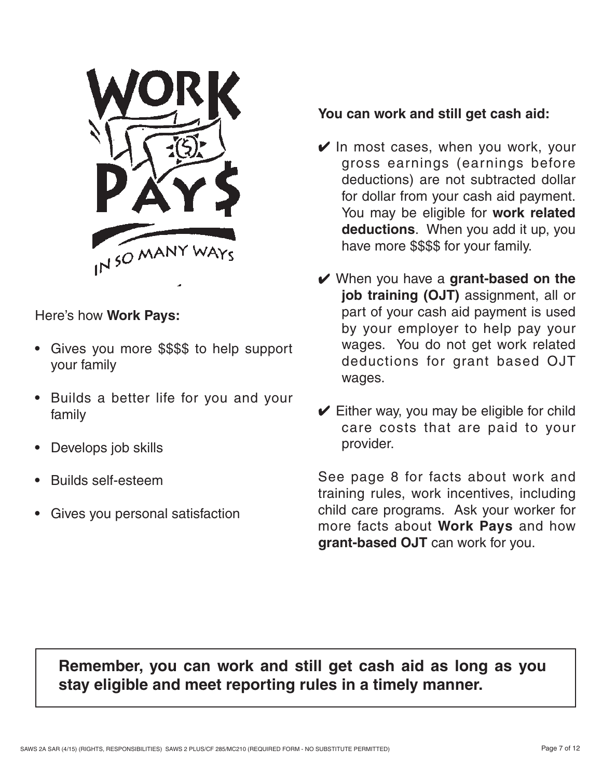

# Here's how **Work Pays:**

- Gives you more \$\$\$\$ to help support your family
- Builds a better life for you and your family
- Develops job skills
- Builds self-esteem
- Gives you personal satisfaction

# **You can work and still get cash aid:**

- $\mathbf y$  In most cases, when you work, your gross earnings (earnings before deductions) are not subtracted dollar You may be eligible for **work related deductions**. When you add it up, you for dollar from your cash aid payment. have more \$\$\$\$ for your family.
- by your employer to help pay your wages. You do not get work related deductions for grant based OJT t When you have a **grant-based on the job training (OJT)** assignment, all or part of your cash aid payment is used wages.
- care costs that are paid to your  $\blacktriangleright$  Either way, you may be eligible for child provider.

 See page 8 for facts about work and training rules, work incentives, including child care programs. Ask your worker for more facts about **Work Pays** and how **grant-based OJT** can work for you.

# **Remember, you can work and still get cash aid as long as you stay eligible and meet reporting rules in a timely manner.**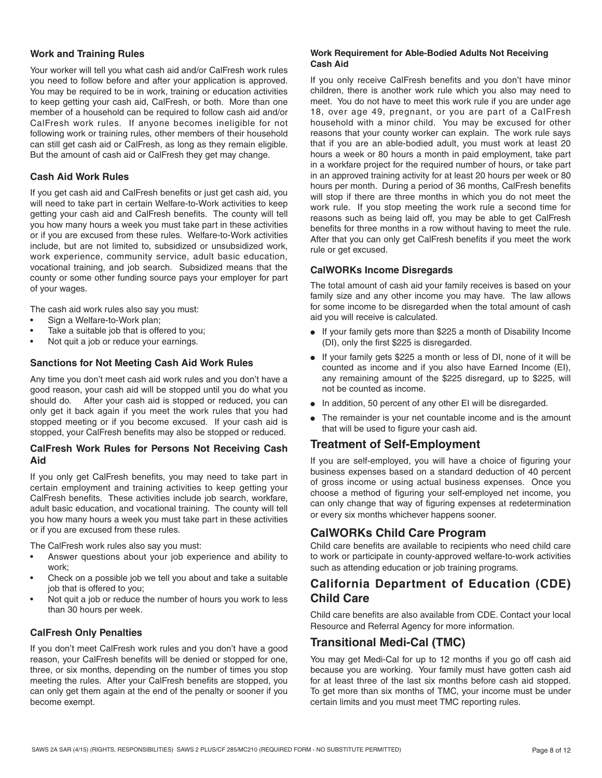### **Work and Training Rules**

 to keep getting your cash aid, CalFresh, or both. More than one CalFresh work rules. If anyone becomes ineligible for not Your worker will tell you what cash aid and/or CalFresh work rules you need to follow before and after your application is approved. You may be required to be in work, training or education activities member of a household can be required to follow cash aid and/or following work or training rules, other members of their household can still get cash aid or CalFresh, as long as they remain eligible. But the amount of cash aid or CalFresh they get may change.

### **Cash Aid Work Rules**

 getting your cash aid and CalFresh benefits. The county will tell or if you are excused from these rules. Welfare-to-Work activities work experience, community service, adult basic education, vocational training, and job search. Subsidized means that the If you get cash aid and CalFresh benefits or just get cash aid, you will need to take part in certain Welfare-to-Work activities to keep you how many hours a week you must take part in these activities include, but are not limited to, subsidized or unsubsidized work, county or some other funding source pays your employer for part of your wages.

The cash aid work rules also say you must:

- Sign a Welfare-to-Work plan;
- Take a suitable job that is offered to you;
- Not quit a job or reduce your earnings.

#### **Sanctions for Not Meeting Cash Aid Work Rules**

should do. only get it back again if you meet the work rules that you had stopped meeting or if you become excused. If your cash aid is Any time you don't meet cash aid work rules and you don't have a good reason, your cash aid will be stopped until you do what you After your cash aid is stopped or reduced, you can stopped, your CalFresh benefits may also be stopped or reduced.

#### **CalFresh Work Rules for Persons Not Receiving Cash Aid**

 If you only get CalFresh benefits, you may need to take part in certain employment and training activities to keep getting your CalFresh benefits. These activities include job search, workfare, adult basic education, and vocational training. The county will tell you how many hours a week you must take part in these activities or if you are excused from these rules.

The CalFresh work rules also say you must:

- • Answer questions about your job experience and ability to work;
- Check on a possible job we tell you about and take a suitable job that is offered to you;
- Not quit a job or reduce the number of hours you work to less than 30 hours per week.

#### **CalFresh Only Penalties**

 meeting the rules. After your CalFresh benefits are stopped, you If you don't meet CalFresh work rules and you don't have a good reason, your CalFresh benefits will be denied or stopped for one, three, or six months, depending on the number of times you stop can only get them again at the end of the penalty or sooner if you become exempt.

#### **Work Requirement for Able-Bodied Adults Not Receiving Cash Aid**

 If you only receive CalFresh benefits and you don't have minor meet. You do not have to meet this work rule if you are under age 18, over age 49, pregnant, or you are part of a CalFresh household with a minor child. You may be excused for other reasons that your county worker can explain. The work rule says that if you are an able-bodied adult, you must work at least 20 hours per month. During a period of 36 months, CalFresh benefits work rule. If you stop meeting the work rule a second time for children, there is another work rule which you also may need to hours a week or 80 hours a month in paid employment, take part in a workfare project for the required number of hours, or take part in an approved training activity for at least 20 hours per week or 80 will stop if there are three months in which you do not meet the reasons such as being laid off, you may be able to get CalFresh benefits for three months in a row without having to meet the rule. After that you can only get CalFresh benefits if you meet the work rule or get excused.

## **CalWORKs Income Disregards**

 family size and any other income you may have. The law allows The total amount of cash aid your family receives is based on your for some income to be disregarded when the total amount of cash aid you will receive is calculated.

- If your family gets more than \$225 a month of Disability Income (DI), only the first \$225 is disregarded.
- If your family gets \$225 a month or less of DI, none of it will be counted as income and if you also have Earned Income (EI), any remaining amount of the \$225 disregard, up to \$225, will not be counted as income.
- In addition, 50 percent of any other EI will be disregarded.
- The remainder is your net countable income and is the amount that will be used to figure your cash aid.

# **Treatment of Self-Employment**

 If you are self-employed, you will have a choice of figuring your of gross income or using actual business expenses. Once you business expenses based on a standard deduction of 40 percent choose a method of figuring your self-employed net income, you can only change that way of figuring expenses at redetermination or every six months whichever happens sooner.

# **CalWORKs Child Care Program**

Child care benefits are available to recipients who need child care to work or participate in county-approved welfare-to-work activities such as attending education or job training programs.

# **California Department of Education (CDE) Child Care**

Child care benefits are also available from CDE. Contact your local Resource and Referral Agency for more information.

# **Transitional Medi-Cal (TMC)**

 because you are working. Your family must have gotten cash aid You may get Medi-Cal for up to 12 months if you go off cash aid for at least three of the last six months before cash aid stopped. To get more than six months of TMC, your income must be under certain limits and you must meet TMC reporting rules.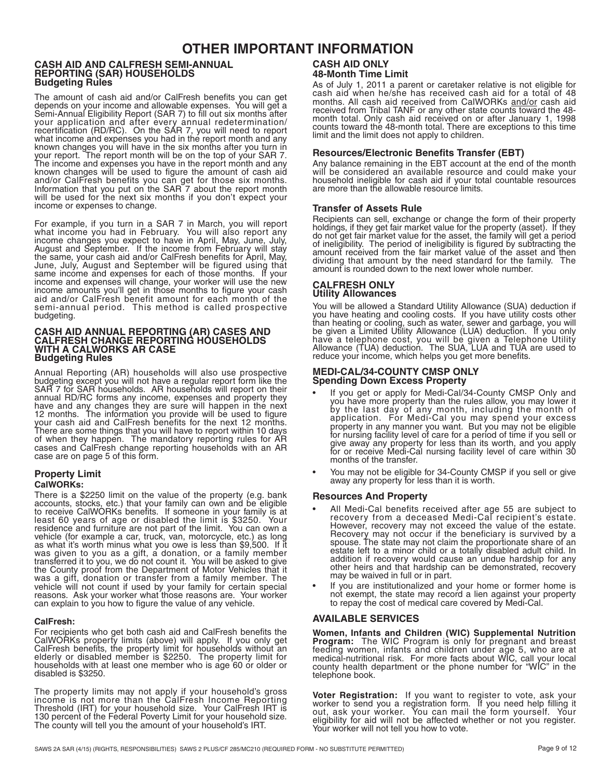# **OTHER IMPORTANT INFORMATION**

#### **CASH AID AND CALFRESH SEMI-ANNUAL REPORTING (SAR) HOUSEHOLDS Budgeting Rules**

 The amount of cash aid and/or CalFresh benefits you can get depends on your income and allowable expenses. You will get a your application and after every annual redetermination/ will be used for the next six months if you don't expect your Semi-Annual Eligibility Report (SAR 7) to fill out six months after recertification (RD/RC). On the SAR 7, you will need to report what income and expenses you had in the report month and any known changes you will have in the six months after you turn in your report. The report month will be on the top of your SAR 7. The income and expenses you have in the report month and any known changes will be used to figure the amount of cash aid and/or CalFresh benefits you can get for those six months. Information that you put on the SAR 7 about the report month income or expenses to change.

 aid and/or CalFresh benefit amount for each month of the For example, if you turn in a SAR 7 in March, you will report what income you had in February. You will also report any income changes you expect to have in April, May, June, July, August and September. If the income from February will stay the same, your cash aid and/or CalFresh benefits for April, May, June, July, August and September will be figured using that same income and expenses for each of those months. If your income and expenses will change, your worker will use the new income amounts you'll get in those months to figure your cash semi-annual period. This method is called prospective budgeting.

#### **CASH AID ANNUAL REPORTING (AR) CASES AND CALFRESH CHANGE REPORTING HOUSEHOLDS WITH A CALWORKS AR CASE Budgeting Rules**

 Annual Reporting (AR) households will also use prospective budgeting except you will not have a regular report form like the SAR 7 for SAR households. AR households will report on their annual RD/RC forms any income, expenses and property they have and any changes they are sure will happen in the next 12 months. The information you provide will be used to figure your cash aid and CalFresh benefits for the next 12 months. There are some things that you will have to report within 10 days of when they happen. The mandatory reporting rules for AR cases and CalFresh change reporting households with an AR case are on page 5 of this form.

#### **Property Limit CalWORKs:**

 There is a \$2250 limit on the value of the property (e.g. bank was a gift, donation or transfer from a family member. The accounts, stocks, etc.) that your family can own and be eligible to receive CalWORKs benefits. If someone in your family is at least 60 years of age or disabled the limit is \$3250. Your residence and furniture are not part of the limit. You can own a vehicle (for example a car, truck, van, motorcycle, etc.) as long as what it's worth minus what you owe is less than \$9,500. If it was given to you as a gift, a donation, or a family member transferred it to you, we do not count it. You will be asked to give the County proof from the Department of Motor Vehicles that it vehicle will not count if used by your family for certain special reasons. Ask your worker what those reasons are. Your worker can explain to you how to figure the value of any vehicle.

#### **CalFresh:**

 CalWORKs property limits (above) will apply. If you only get For recipients who get both cash aid and CalFresh benefits the CalFresh benefits, the property limit for households without an elderly or disabled member is \$2250. The property limit for households with at least one member who is age 60 or older or disabled is \$3250.

 The property limits may not apply if your household's gross income is not more than the CalFresh Income Reporting Threshold (IRT) for your household size. Your CalFresh IRT is 130 percent of the Federal Poverty Limit for your household size. The county will tell you the amount of your household's IRT.

# **CASH AID ONLY 48-Month Time Limit**

 cash aid when he/she has received cash aid for a total of 48 received from Tribal TANF or any other state counts toward the 48- month total. Only cash aid received on or after January 1, 1998 As of July 1, 2011 a parent or caretaker relative is not eligible for months. All cash aid received from CalWORKs and/or cash aid counts toward the 48-month total. There are exceptions to this time limit and the limit does not apply to children.

#### **Resources/Electronic Benefits Transfer (EBT)**

 will be considered an available resource and could make your Any balance remaining in the EBT account at the end of the month household ineligible for cash aid if your total countable resources are more than the allowable resource limits.

#### **Transfer of Assets Rule**

 of ineligibility. The period of ineligibility is figured by subtracting the dividing that amount by the need standard for the family. The amount is rounded down to the next lower whole number. Recipients can sell, exchange or change the form of their property holdings, if they get fair market value for the property (asset). If they do not get fair market value for the asset, the family will get a period amount received from the fair market value of the asset and then

#### **CALFRESH ONLY Utility Allowances**

 be given a Limited Utility Allowance (LUA) deduction. If you only You will be allowed a Standard Utility Allowance (SUA) deduction if you have heating and cooling costs. If you have utility costs other than heating or cooling, such as water, sewer and garbage, you will have a telephone cost, you will be given a Telephone Utility Allowance (TUA) deduction. The SUA, LUA and TUA are used to reduce your income, which helps you get more benefits.

#### **MEDI-CAL/34-COUNTY CMSP ONLY Spending Down Excess Property**

- • If you get or apply for Medi-Cal/34-County CMSP Only and by the last day of any month, including the month of you have more property than the rules allow, you may lower it application. For Medi-Cal you may spend your excess property in any manner you want. But you may not be eligible for nursing facility level of care for a period of time if you sell or give away any property for less than its worth, and you apply for or receive Medi-Cal nursing facility level of care within 30 months of the transfer.
- You may not be eligible for 34-County CMSP if you sell or give away any property for less than it is worth.

#### **Resources And Property**

- • All Medi-Cal benefits received after age 55 are subject to Recovery may not occur if the beneficiary is survived by a addition if recovery would cause an undue hardship for any recovery from a deceased Medi-Cal recipient's estate. However, recovery may not exceed the value of the estate. spouse. The state may not claim the proportionate share of an estate left to a minor child or a totally disabled adult child. In other heirs and that hardship can be demonstrated, recovery may be waived in full or in part.
- • If you are institutionalized and your home or former home is not exempt, the state may record a lien against your property to repay the cost of medical care covered by Medi-Cal.

#### **AVAILABLE SERVICES**

 **Women, Infants and Children (WIC) Supplemental Nutrition Program:** The WIC Program is only for pregnant and breast<br>feeding women, infants and children under age 5, who are at medical-nutritional risk. For more facts about WIC, call your local county health department or the phone number for "WIC" in the telephone book.

 **Voter Registration:** If you want to register to vote, ask your worker to send you a registration form. If you need help filling it out, ask your worker. You can mail the form yourself. Your eligibility for aid will not be affected whether or not you register. Your worker will not tell you how to vote.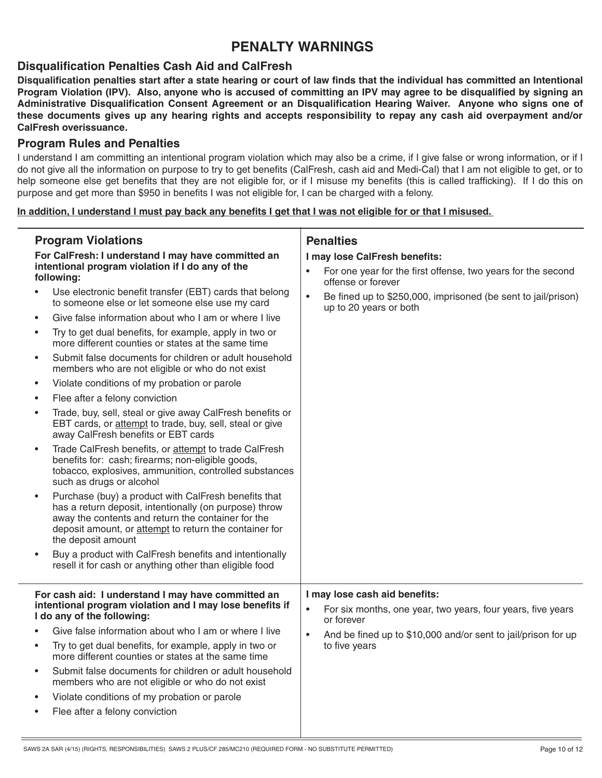# **PENALTY WARNINGS**

# **Disqualification Penalties Cash Aid and CalFresh**

 **Program Violation (IPV). Also, anyone who is accused of committing an IPV may agree to be disqualified by signing an Administrative Disqualification Consent Agreement or an Disqualification Hearing Waiver. Anyone who signs one of these documents gives up any hearing rights and accepts responsibility to repay any cash aid overpayment and/or Disqualification penalties start after a state hearing or court of law finds that the individual has committed an Intentional CalFresh overissuance.** 

# **Program Rules and Penalties**

 help someone else get benefits that they are not eligible for, or if I misuse my benefits (this is called trafficking). If I do this on I understand I am committing an intentional program violation which may also be a crime, if I give false or wrong information, or if I do not give all the information on purpose to try to get benefits (CalFresh, cash aid and Medi-Cal) that I am not eligible to get, or to purpose and get more than \$950 in benefits I was not eligible for, I can be charged with a felony.

## **In addition, I understand I must pay back any benefits I get that I was not eligible for or that I misused.**

| <b>Program Violations</b><br>For CalFresh: I understand I may have committed an<br>intentional program violation if I do any of the<br>following: |                                                                                                                                                                                                                                                      | <b>Penalties</b><br>I may lose CalFresh benefits:                                                                       |
|---------------------------------------------------------------------------------------------------------------------------------------------------|------------------------------------------------------------------------------------------------------------------------------------------------------------------------------------------------------------------------------------------------------|-------------------------------------------------------------------------------------------------------------------------|
|                                                                                                                                                   |                                                                                                                                                                                                                                                      | For one year for the first offense, two years for the second<br>$\bullet$<br>offense or forever                         |
| $\bullet$                                                                                                                                         | Use electronic benefit transfer (EBT) cards that belong<br>to someone else or let someone else use my card                                                                                                                                           | Be fined up to \$250,000, imprisoned (be sent to jail/prison)<br>$\bullet$<br>up to 20 years or both                    |
| $\bullet$                                                                                                                                         | Give false information about who I am or where I live                                                                                                                                                                                                |                                                                                                                         |
| $\bullet$                                                                                                                                         | Try to get dual benefits, for example, apply in two or<br>more different counties or states at the same time                                                                                                                                         |                                                                                                                         |
| $\bullet$                                                                                                                                         | Submit false documents for children or adult household<br>members who are not eligible or who do not exist                                                                                                                                           |                                                                                                                         |
| $\bullet$                                                                                                                                         | Violate conditions of my probation or parole                                                                                                                                                                                                         |                                                                                                                         |
| $\bullet$                                                                                                                                         | Flee after a felony conviction                                                                                                                                                                                                                       |                                                                                                                         |
| $\bullet$                                                                                                                                         | Trade, buy, sell, steal or give away CalFresh benefits or<br>EBT cards, or attempt to trade, buy, sell, steal or give<br>away CalFresh benefits or EBT cards                                                                                         |                                                                                                                         |
| $\bullet$                                                                                                                                         | Trade CalFresh benefits, or attempt to trade CalFresh<br>benefits for: cash; firearms; non-eligible goods,<br>tobacco, explosives, ammunition, controlled substances<br>such as drugs or alcohol                                                     |                                                                                                                         |
| $\bullet$                                                                                                                                         | Purchase (buy) a product with CalFresh benefits that<br>has a return deposit, intentionally (on purpose) throw<br>away the contents and return the container for the<br>deposit amount, or attempt to return the container for<br>the deposit amount |                                                                                                                         |
| $\bullet$                                                                                                                                         | Buy a product with CalFresh benefits and intentionally<br>resell it for cash or anything other than eligible food                                                                                                                                    |                                                                                                                         |
| For cash aid: I understand I may have committed an<br>intentional program violation and I may lose benefits if<br>I do any of the following:      |                                                                                                                                                                                                                                                      | I may lose cash aid benefits:<br>$\bullet$<br>For six months, one year, two years, four years, five years<br>or forever |
|                                                                                                                                                   | Give false information about who I am or where I live                                                                                                                                                                                                | $\bullet$<br>And be fined up to \$10,000 and/or sent to jail/prison for up                                              |
| $\bullet$                                                                                                                                         | Try to get dual benefits, for example, apply in two or<br>more different counties or states at the same time                                                                                                                                         | to five years                                                                                                           |
| $\bullet$                                                                                                                                         | Submit false documents for children or adult household<br>members who are not eligible or who do not exist                                                                                                                                           |                                                                                                                         |
| $\bullet$                                                                                                                                         | Violate conditions of my probation or parole                                                                                                                                                                                                         |                                                                                                                         |
| $\bullet$                                                                                                                                         | Flee after a felony conviction                                                                                                                                                                                                                       |                                                                                                                         |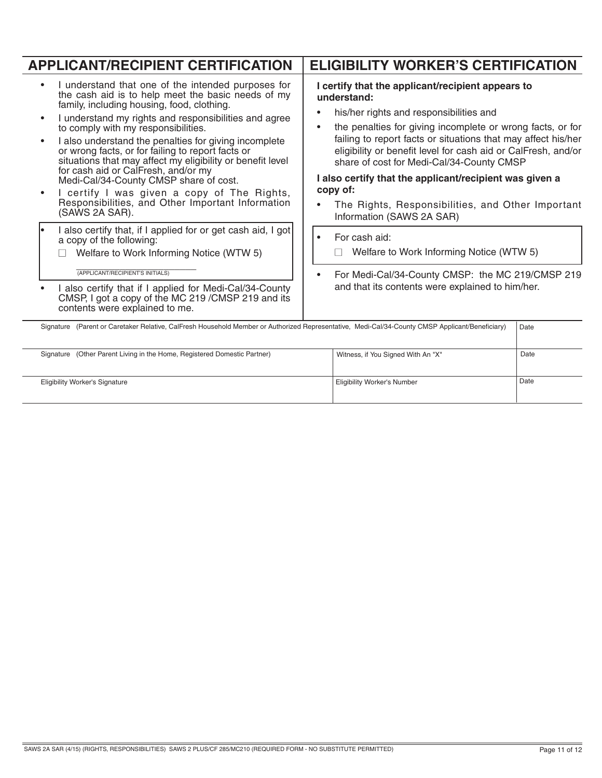| <b>APPLICANT/RECIPIENT CERTIFICATION</b>                                                                                                                                                                                                                                                                                                                                                                                                                                                                                                                                                                                                  | <b>ELIGIBILITY WORKER'S CERTIFICATION</b>                                                                                                                                                                                                                                                                                                                                                                                                                                                                                      |  |  |  |
|-------------------------------------------------------------------------------------------------------------------------------------------------------------------------------------------------------------------------------------------------------------------------------------------------------------------------------------------------------------------------------------------------------------------------------------------------------------------------------------------------------------------------------------------------------------------------------------------------------------------------------------------|--------------------------------------------------------------------------------------------------------------------------------------------------------------------------------------------------------------------------------------------------------------------------------------------------------------------------------------------------------------------------------------------------------------------------------------------------------------------------------------------------------------------------------|--|--|--|
| I understand that one of the intended purposes for<br>the cash aid is to help meet the basic needs of my<br>family, including housing, food, clothing.<br>I understand my rights and responsibilities and agree<br>to comply with my responsibilities.<br>I also understand the penalties for giving incomplete<br>or wrong facts, or for failing to report facts or<br>situations that may affect my eligibility or benefit level<br>for cash aid or CalFresh, and/or my<br>Medi-Cal/34-County CMSP share of cost.<br>I certify I was given a copy of The Rights,<br>Responsibilities, and Other Important Information<br>(SAWS 2A SAR). | I certify that the applicant/recipient appears to<br>understand:<br>his/her rights and responsibilities and<br>the penalties for giving incomplete or wrong facts, or for<br>$\bullet$<br>failing to report facts or situations that may affect his/her<br>eligibility or benefit level for cash aid or CalFresh, and/or<br>share of cost for Medi-Cal/34-County CMSP<br>I also certify that the applicant/recipient was given a<br>copy of:<br>The Rights, Responsibilities, and Other Important<br>Information (SAWS 2A SAR) |  |  |  |
| I also certify that, if I applied for or get cash aid, I got<br>a copy of the following:<br>Welfare to Work Informing Notice (WTW 5)                                                                                                                                                                                                                                                                                                                                                                                                                                                                                                      | For cash aid:<br>$\bullet$<br>Welfare to Work Informing Notice (WTW 5)                                                                                                                                                                                                                                                                                                                                                                                                                                                         |  |  |  |
| (APPLICANT/RECIPIENT'S INITIALS)<br>I also certify that if I applied for Medi-Cal/34-County<br>CMSP, I got a copy of the MC 219 /CMSP 219 and its<br>contents were explained to me.                                                                                                                                                                                                                                                                                                                                                                                                                                                       | For Medi-Cal/34-County CMSP: the MC 219/CMSP 219<br>and that its contents were explained to him/her.                                                                                                                                                                                                                                                                                                                                                                                                                           |  |  |  |
| Signature (Parent or Caretaker Relative, CalFresh Household Member or Authorized Representative, Medi-Cal/34-County CMSP Applicant/Beneficiary)<br>Date                                                                                                                                                                                                                                                                                                                                                                                                                                                                                   |                                                                                                                                                                                                                                                                                                                                                                                                                                                                                                                                |  |  |  |
| Objective Andrew Depart Librarie that Hence Deptatoral Department Deptator                                                                                                                                                                                                                                                                                                                                                                                                                                                                                                                                                                | $D - 1 -$                                                                                                                                                                                                                                                                                                                                                                                                                                                                                                                      |  |  |  |

| Signature (Other Parent Living in the Home, Registered Domestic Partner) | Witness, if You Signed With An "X" | Date |
|--------------------------------------------------------------------------|------------------------------------|------|
| <b>Eligibility Worker's Signature</b>                                    | Eligibility Worker's Number        | Date |